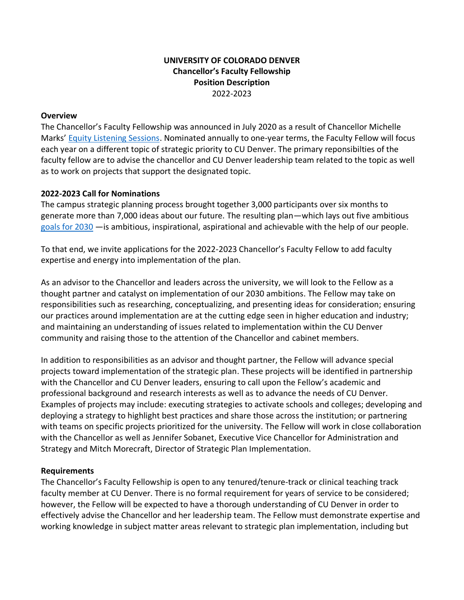# **UNIVERSITY OF COLORADO DENVER Chancellor's Faculty Fellowship Position Description** 2022-2023

#### **Overview**

The Chancellor's Faculty Fellowship was announced in July 2020 as a result of Chancellor Michelle Marks' [Equity Listening Sessions.](https://www1.ucdenver.edu/about/leadership/chancellor/equity-and-racial-justice) Nominated annually to one-year terms, the Faculty Fellow will focus each year on a different topic of strategic priority to CU Denver. The primary reponsibilties of the faculty fellow are to advise the chancellor and CU Denver leadership team related to the topic as well as to work on projects that support the designated topic.

### **2022-2023 Call for Nominations**

The campus strategic planning process brought together 3,000 participants over six months to generate more than 7,000 ideas about our future. The resulting plan—which lays out five ambitious [goals for 2030](https://www.ucdenver.edu/2030/goals-for-2030) —is ambitious, inspirational, aspirational and achievable with the help of our people.

To that end, we invite applications for the 2022-2023 Chancellor's Faculty Fellow to add faculty expertise and energy into implementation of the plan.

As an advisor to the Chancellor and leaders across the university, we will look to the Fellow as a thought partner and catalyst on implementation of our 2030 ambitions. The Fellow may take on responsibilities such as researching, conceptualizing, and presenting ideas for consideration; ensuring our practices around implementation are at the cutting edge seen in higher education and industry; and maintaining an understanding of issues related to implementation within the CU Denver community and raising those to the attention of the Chancellor and cabinet members.

In addition to responsibilities as an advisor and thought partner, the Fellow will advance special projects toward implementation of the strategic plan. These projects will be identified in partnership with the Chancellor and CU Denver leaders, ensuring to call upon the Fellow's academic and professional background and research interests as well as to advance the needs of CU Denver. Examples of projects may include: executing strategies to activate schools and colleges; developing and deploying a strategy to highlight best practices and share those across the institution; or partnering with teams on specific projects prioritized for the university. The Fellow will work in close collaboration with the Chancellor as well as Jennifer Sobanet, Executive Vice Chancellor for Administration and Strategy and Mitch Morecraft, Director of Strategic Plan Implementation.

### **Requirements**

The Chancellor's Faculty Fellowship is open to any tenured/tenure-track or clinical teaching track faculty member at CU Denver. There is no formal requirement for years of service to be considered; however, the Fellow will be expected to have a thorough understanding of CU Denver in order to effectively advise the Chancellor and her leadership team. The Fellow must demonstrate expertise and working knowledge in subject matter areas relevant to strategic plan implementation, including but